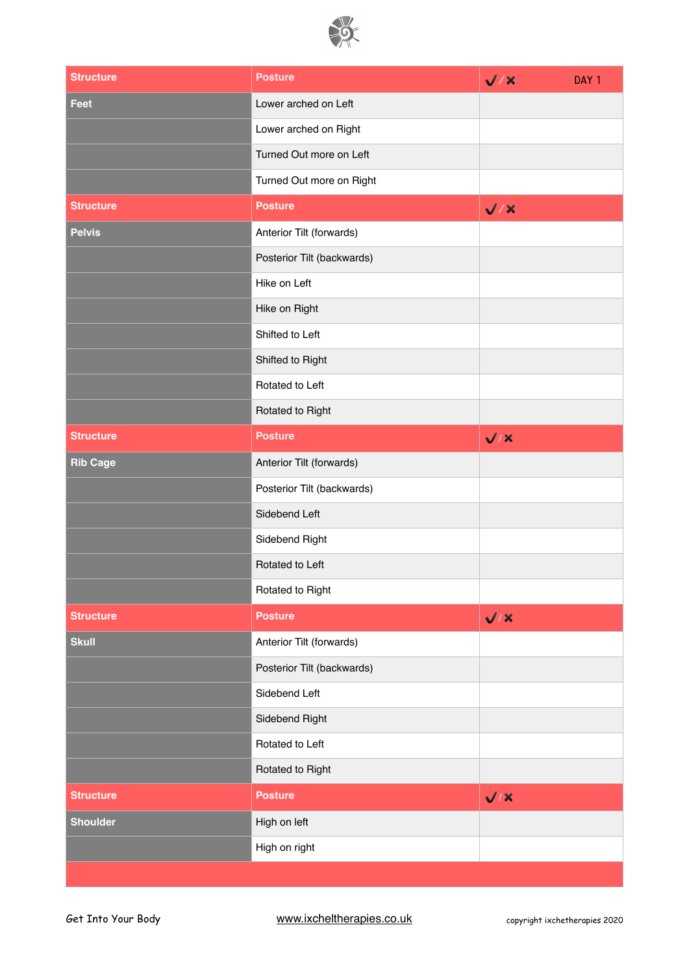

| <b>Structure</b> | <b>Posture</b>             | $\sqrt{X}$ | DAY <sub>1</sub> |
|------------------|----------------------------|------------|------------------|
| <b>Feet</b>      | Lower arched on Left       |            |                  |
|                  | Lower arched on Right      |            |                  |
|                  | Turned Out more on Left    |            |                  |
|                  | Turned Out more on Right   |            |                  |
| <b>Structure</b> | <b>Posture</b>             | $\sqrt{7}$ |                  |
| <b>Pelvis</b>    | Anterior Tilt (forwards)   |            |                  |
|                  | Posterior Tilt (backwards) |            |                  |
|                  | Hike on Left               |            |                  |
|                  | Hike on Right              |            |                  |
|                  | Shifted to Left            |            |                  |
|                  | Shifted to Right           |            |                  |
|                  | Rotated to Left            |            |                  |
|                  | Rotated to Right           |            |                  |
| <b>Structure</b> | <b>Posture</b>             | $\sqrt{X}$ |                  |
| <b>Rib Cage</b>  | Anterior Tilt (forwards)   |            |                  |
|                  | Posterior Tilt (backwards) |            |                  |
|                  | Sidebend Left              |            |                  |
|                  | Sidebend Right             |            |                  |
|                  | Rotated to Left            |            |                  |
|                  | Rotated to Right           |            |                  |
| <b>Structure</b> | <b>Posture</b>             | $\sqrt{1}$ |                  |
| <b>Skull</b>     | Anterior Tilt (forwards)   |            |                  |
|                  | Posterior Tilt (backwards) |            |                  |
|                  | Sidebend Left              |            |                  |
|                  | Sidebend Right             |            |                  |
|                  | Rotated to Left            |            |                  |
|                  | Rotated to Right           |            |                  |
| <b>Structure</b> | <b>Posture</b>             | $\sqrt{1}$ |                  |
| <b>Shoulder</b>  | High on left               |            |                  |
|                  | High on right              |            |                  |
|                  |                            |            |                  |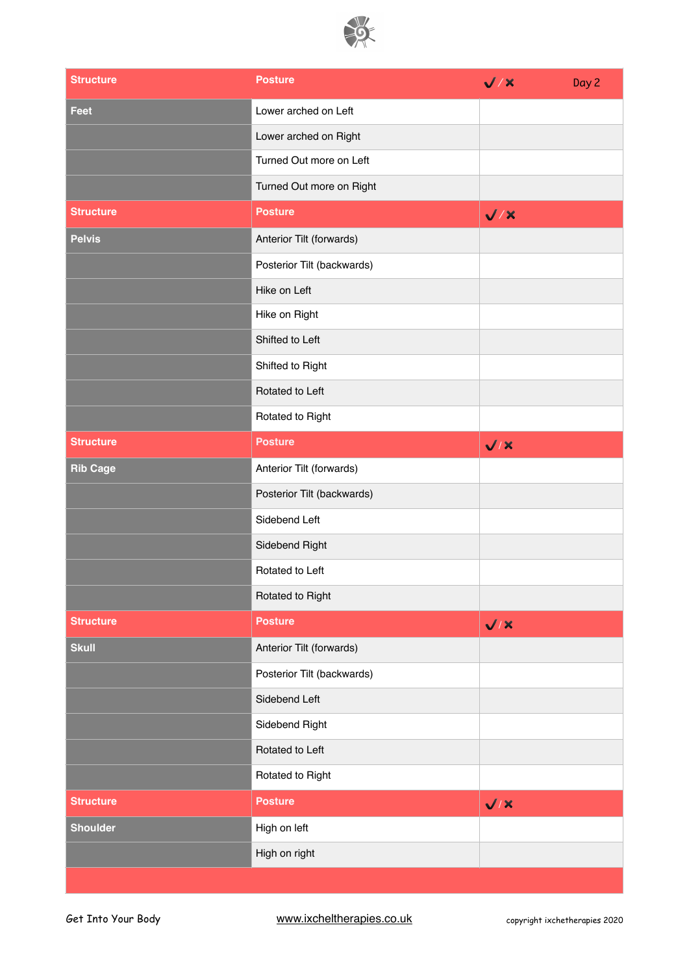

| <b>Structure</b> | <b>Posture</b>             | $\sqrt{X}$ | Day 2 |
|------------------|----------------------------|------------|-------|
| <b>Feet</b>      | Lower arched on Left       |            |       |
|                  | Lower arched on Right      |            |       |
|                  | Turned Out more on Left    |            |       |
|                  | Turned Out more on Right   |            |       |
| <b>Structure</b> | <b>Posture</b>             | $\sqrt{2}$ |       |
| <b>Pelvis</b>    | Anterior Tilt (forwards)   |            |       |
|                  | Posterior Tilt (backwards) |            |       |
|                  | Hike on Left               |            |       |
|                  | Hike on Right              |            |       |
|                  | Shifted to Left            |            |       |
|                  | Shifted to Right           |            |       |
|                  | Rotated to Left            |            |       |
|                  | Rotated to Right           |            |       |
| <b>Structure</b> | <b>Posture</b>             | $\sqrt{X}$ |       |
| <b>Rib Cage</b>  | Anterior Tilt (forwards)   |            |       |
|                  | Posterior Tilt (backwards) |            |       |
|                  | Sidebend Left              |            |       |
|                  | Sidebend Right             |            |       |
|                  | Rotated to Left            |            |       |
|                  | Rotated to Right           |            |       |
| <b>Structure</b> | <b>Posture</b>             | $\sqrt{X}$ |       |
| <b>Skull</b>     | Anterior Tilt (forwards)   |            |       |
|                  | Posterior Tilt (backwards) |            |       |
|                  | Sidebend Left              |            |       |
|                  | Sidebend Right             |            |       |
|                  | Rotated to Left            |            |       |
|                  | Rotated to Right           |            |       |
| <b>Structure</b> | <b>Posture</b>             | $\sqrt{X}$ |       |
| <b>Shoulder</b>  | High on left               |            |       |
|                  | High on right              |            |       |
|                  |                            |            |       |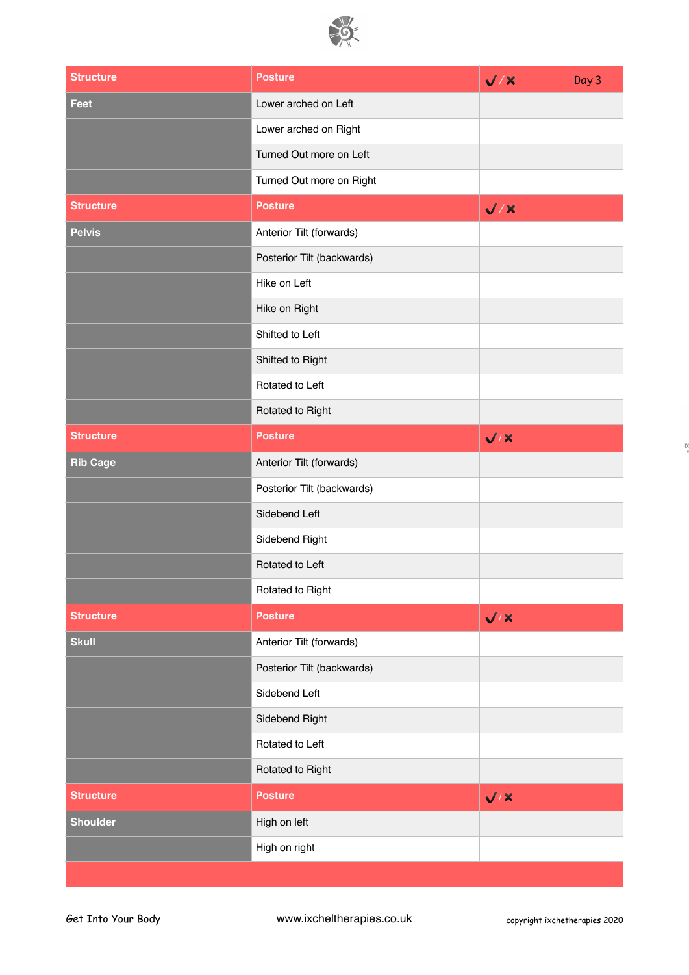

| <b>Structure</b> | <b>Posture</b>             | $\sqrt{2}$ | Day 3 |
|------------------|----------------------------|------------|-------|
| Feet             | Lower arched on Left       |            |       |
|                  | Lower arched on Right      |            |       |
|                  | Turned Out more on Left    |            |       |
|                  | Turned Out more on Right   |            |       |
| <b>Structure</b> | <b>Posture</b>             | $\sqrt{2}$ |       |
| <b>Pelvis</b>    | Anterior Tilt (forwards)   |            |       |
|                  | Posterior Tilt (backwards) |            |       |
|                  | Hike on Left               |            |       |
|                  | Hike on Right              |            |       |
|                  | Shifted to Left            |            |       |
|                  | Shifted to Right           |            |       |
|                  | Rotated to Left            |            |       |
|                  | Rotated to Right           |            |       |
| <b>Structure</b> | <b>Posture</b>             | $\sqrt{X}$ |       |
| <b>Rib Cage</b>  | Anterior Tilt (forwards)   |            |       |
|                  | Posterior Tilt (backwards) |            |       |
|                  | Sidebend Left              |            |       |
|                  | Sidebend Right             |            |       |
|                  | Rotated to Left            |            |       |
|                  | Rotated to Right           |            |       |
| <b>Structure</b> | <b>Posture</b>             | $\sqrt{X}$ |       |
| <b>Skull</b>     | Anterior Tilt (forwards)   |            |       |
|                  | Posterior Tilt (backwards) |            |       |
|                  | Sidebend Left              |            |       |
|                  | Sidebend Right             |            |       |
|                  | Rotated to Left            |            |       |
|                  | Rotated to Right           |            |       |
| <b>Structure</b> | <b>Posture</b>             | $\sqrt{X}$ |       |
| <b>Shoulder</b>  | High on left               |            |       |
|                  | High on right              |            |       |
|                  |                            |            |       |

 $\overline{D}$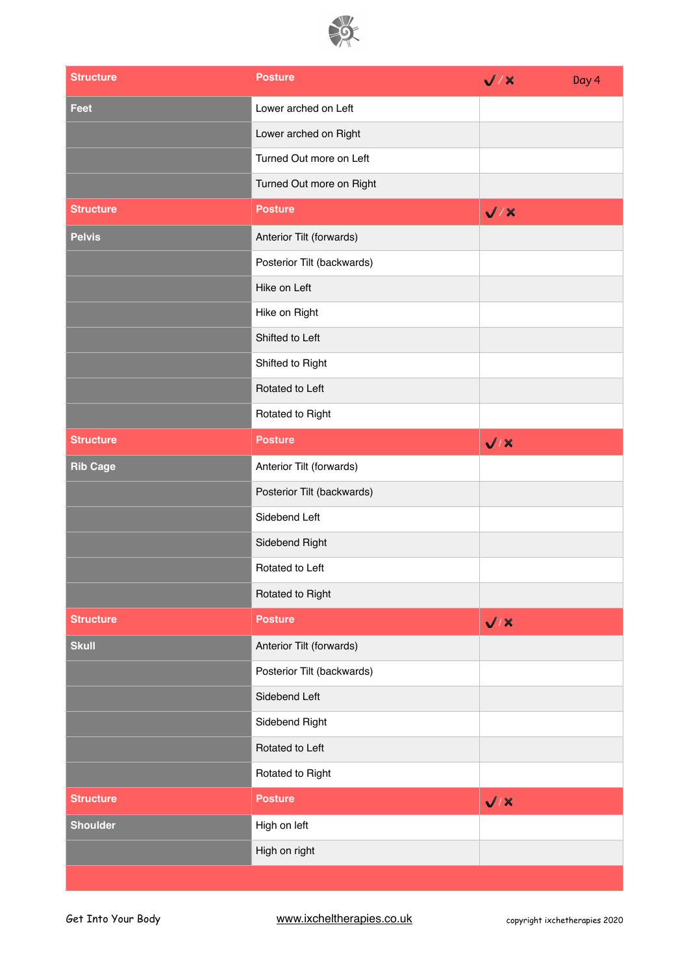

| <b>Structure</b> | <b>Posture</b>             | $\sqrt{X}$ | Day 4 |
|------------------|----------------------------|------------|-------|
| Feet             | Lower arched on Left       |            |       |
|                  | Lower arched on Right      |            |       |
|                  | Turned Out more on Left    |            |       |
|                  | Turned Out more on Right   |            |       |
| <b>Structure</b> | <b>Posture</b>             | $\sqrt{2}$ |       |
| <b>Pelvis</b>    | Anterior Tilt (forwards)   |            |       |
|                  | Posterior Tilt (backwards) |            |       |
|                  | Hike on Left               |            |       |
|                  | Hike on Right              |            |       |
|                  | Shifted to Left            |            |       |
|                  | Shifted to Right           |            |       |
|                  | Rotated to Left            |            |       |
|                  | Rotated to Right           |            |       |
| <b>Structure</b> | <b>Posture</b>             | $\sqrt{1}$ |       |
| <b>Rib Cage</b>  | Anterior Tilt (forwards)   |            |       |
|                  | Posterior Tilt (backwards) |            |       |
|                  | Sidebend Left              |            |       |
|                  | Sidebend Right             |            |       |
|                  | Rotated to Left            |            |       |
|                  | Rotated to Right           |            |       |
| <b>Structure</b> | <b>Posture</b>             | $\sqrt{X}$ |       |
| <b>Skull</b>     | Anterior Tilt (forwards)   |            |       |
|                  | Posterior Tilt (backwards) |            |       |
|                  | Sidebend Left              |            |       |
|                  | Sidebend Right             |            |       |
|                  | Rotated to Left            |            |       |
|                  | Rotated to Right           |            |       |
| <b>Structure</b> | <b>Posture</b>             | $\sqrt{1}$ |       |
| <b>Shoulder</b>  | High on left               |            |       |
|                  | High on right              |            |       |
|                  |                            |            |       |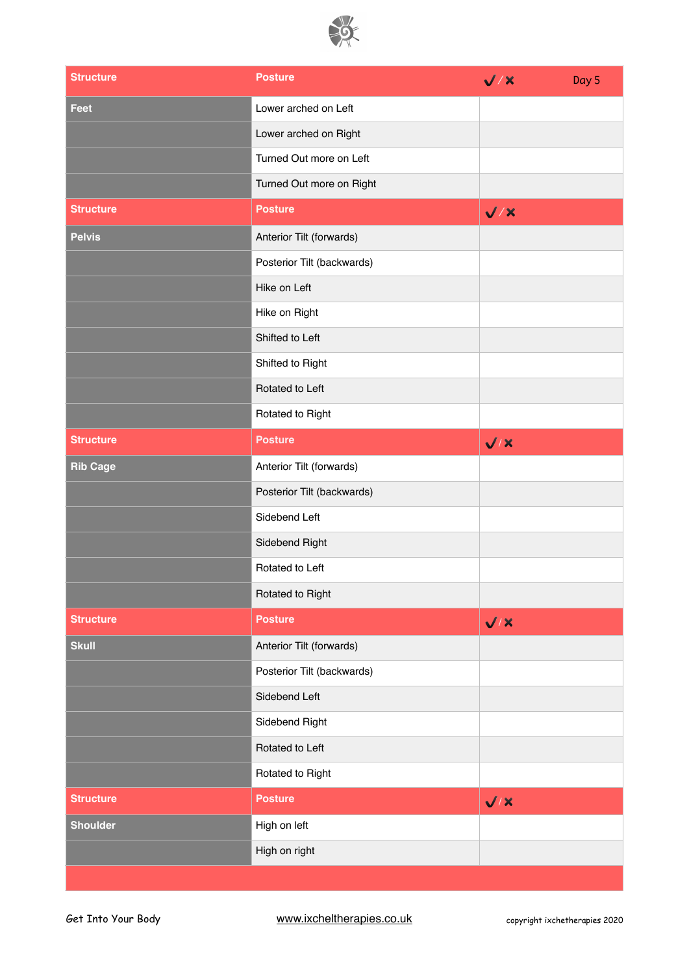

| <b>Structure</b> | <b>Posture</b>             | $\sqrt{X}$ | Day 5 |
|------------------|----------------------------|------------|-------|
| <b>Feet</b>      | Lower arched on Left       |            |       |
|                  | Lower arched on Right      |            |       |
|                  | Turned Out more on Left    |            |       |
|                  | Turned Out more on Right   |            |       |
| <b>Structure</b> | <b>Posture</b>             | $\sqrt{X}$ |       |
| <b>Pelvis</b>    | Anterior Tilt (forwards)   |            |       |
|                  | Posterior Tilt (backwards) |            |       |
|                  | Hike on Left               |            |       |
|                  | Hike on Right              |            |       |
|                  | Shifted to Left            |            |       |
|                  | Shifted to Right           |            |       |
|                  | Rotated to Left            |            |       |
|                  | Rotated to Right           |            |       |
| <b>Structure</b> | <b>Posture</b>             | $\sqrt{X}$ |       |
| <b>Rib Cage</b>  | Anterior Tilt (forwards)   |            |       |
|                  | Posterior Tilt (backwards) |            |       |
|                  | Sidebend Left              |            |       |
|                  | Sidebend Right             |            |       |
|                  | Rotated to Left            |            |       |
|                  | Rotated to Right           |            |       |
| <b>Structure</b> | <b>Posture</b>             | $\sqrt{X}$ |       |
| <b>Skull</b>     | Anterior Tilt (forwards)   |            |       |
|                  | Posterior Tilt (backwards) |            |       |
|                  | Sidebend Left              |            |       |
|                  | Sidebend Right             |            |       |
|                  | Rotated to Left            |            |       |
|                  | Rotated to Right           |            |       |
| <b>Structure</b> | <b>Posture</b>             | $\sqrt{1}$ |       |
| <b>Shoulder</b>  | High on left               |            |       |
|                  | High on right              |            |       |
|                  |                            |            |       |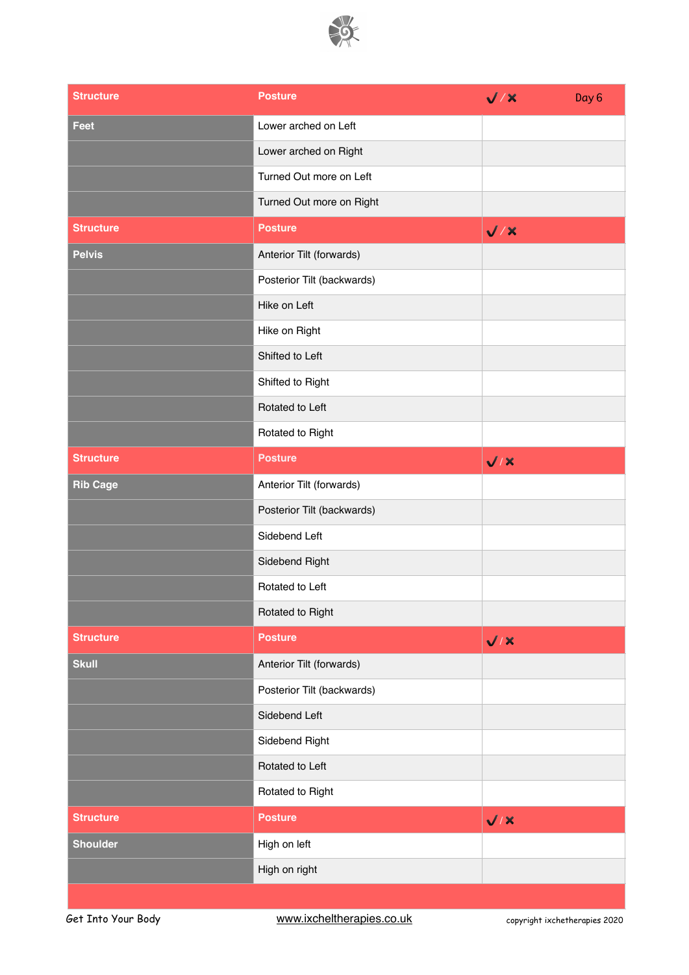

| <b>Structure</b> | <b>Posture</b>             | $\sqrt{X}$ | Day <sub>6</sub> |
|------------------|----------------------------|------------|------------------|
| Feet             | Lower arched on Left       |            |                  |
|                  | Lower arched on Right      |            |                  |
|                  | Turned Out more on Left    |            |                  |
|                  | Turned Out more on Right   |            |                  |
| <b>Structure</b> | <b>Posture</b>             | $\sqrt{2}$ |                  |
| <b>Pelvis</b>    | Anterior Tilt (forwards)   |            |                  |
|                  | Posterior Tilt (backwards) |            |                  |
|                  | Hike on Left               |            |                  |
|                  | Hike on Right              |            |                  |
|                  | Shifted to Left            |            |                  |
|                  | Shifted to Right           |            |                  |
|                  | Rotated to Left            |            |                  |
|                  | Rotated to Right           |            |                  |
| <b>Structure</b> | <b>Posture</b>             | $\sqrt{1}$ |                  |
| <b>Rib Cage</b>  | Anterior Tilt (forwards)   |            |                  |
|                  | Posterior Tilt (backwards) |            |                  |
|                  | Sidebend Left              |            |                  |
|                  | Sidebend Right             |            |                  |
|                  | Rotated to Left            |            |                  |
|                  | Rotated to Right           |            |                  |
| <b>Structure</b> | <b>Posture</b>             | V/X        |                  |
| <b>Skull</b>     | Anterior Tilt (forwards)   |            |                  |
|                  | Posterior Tilt (backwards) |            |                  |
|                  | Sidebend Left              |            |                  |
|                  | Sidebend Right             |            |                  |
|                  | Rotated to Left            |            |                  |
|                  | Rotated to Right           |            |                  |
| <b>Structure</b> | <b>Posture</b>             | $\sqrt{1}$ |                  |
| <b>Shoulder</b>  | High on left               |            |                  |
|                  | High on right              |            |                  |
|                  |                            |            |                  |